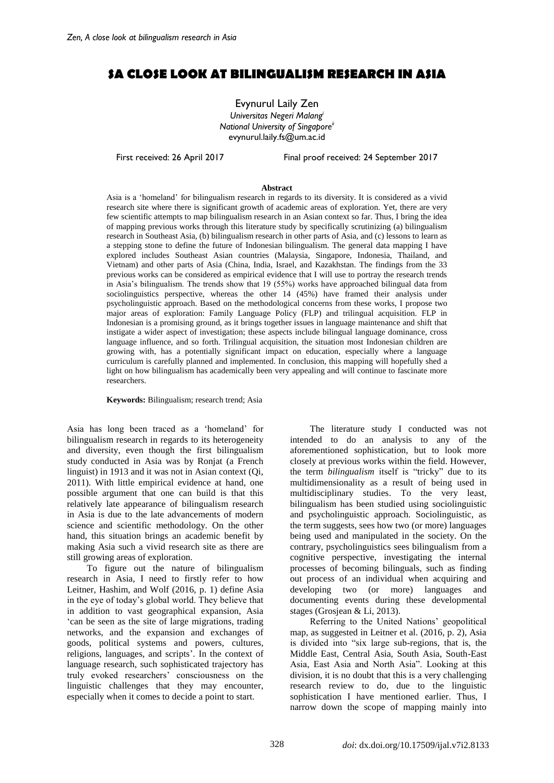# **SA CLOSE LOOK AT BILINGUALISM RESEARCH IN ASIA**

Evynurul Laily Zen *Universitas Negeri Malang<sup>i</sup> National University of Singaporeii* evynurul.laily.fs@um.ac.id

First received: 26 April 2017 Final proof received: 24 September 2017

#### **Abstract**

Asia is a 'homeland' for bilingualism research in regards to its diversity. It is considered as a vivid research site where there is significant growth of academic areas of exploration. Yet, there are very few scientific attempts to map bilingualism research in an Asian context so far. Thus, I bring the idea of mapping previous works through this literature study by specifically scrutinizing (a) bilingualism research in Southeast Asia, (b) bilingualism research in other parts of Asia, and (c) lessons to learn as a stepping stone to define the future of Indonesian bilingualism. The general data mapping I have explored includes Southeast Asian countries (Malaysia, Singapore, Indonesia, Thailand, and Vietnam) and other parts of Asia (China, India, Israel, and Kazakhstan. The findings from the 33 previous works can be considered as empirical evidence that I will use to portray the research trends in Asia's bilingualism. The trends show that 19 (55%) works have approached bilingual data from sociolinguistics perspective, whereas the other 14 (45%) have framed their analysis under psycholinguistic approach. Based on the methodological concerns from these works, I propose two major areas of exploration: Family Language Policy (FLP) and trilingual acquisition. FLP in Indonesian is a promising ground, as it brings together issues in language maintenance and shift that instigate a wider aspect of investigation; these aspects include bilingual language dominance, cross language influence, and so forth. Trilingual acquisition, the situation most Indonesian children are growing with, has a potentially significant impact on education, especially where a language curriculum is carefully planned and implemented. In conclusion, this mapping will hopefully shed a light on how bilingualism has academically been very appealing and will continue to fascinate more researchers.

**Keywords:** Bilingualism; research trend; Asia

Asia has long been traced as a 'homeland' for bilingualism research in regards to its heterogeneity and diversity, even though the first bilingualism study conducted in Asia was by Ronjat (a French linguist) in 1913 and it was not in Asian context (Qi, 2011). With little empirical evidence at hand, one possible argument that one can build is that this relatively late appearance of bilingualism research in Asia is due to the late advancements of modern science and scientific methodology. On the other hand, this situation brings an academic benefit by making Asia such a vivid research site as there are still growing areas of exploration.

To figure out the nature of bilingualism research in Asia, I need to firstly refer to how Leitner, Hashim, and Wolf (2016, p. 1) define Asia in the eye of today's global world. They believe that in addition to vast geographical expansion, Asia 'can be seen as the site of large migrations, trading networks, and the expansion and exchanges of goods, political systems and powers, cultures, religions, languages, and scripts'. In the context of language research, such sophisticated trajectory has truly evoked researchers' consciousness on the linguistic challenges that they may encounter, especially when it comes to decide a point to start.

The literature study I conducted was not intended to do an analysis to any of the aforementioned sophistication, but to look more closely at previous works within the field. However, the term *bilingualism* itself is "tricky" due to its multidimensionality as a result of being used in multidisciplinary studies. To the very least, bilingualism has been studied using sociolinguistic and psycholinguistic approach. Sociolinguistic, as the term suggests, sees how two (or more) languages being used and manipulated in the society. On the contrary, psycholinguistics sees bilingualism from a cognitive perspective, investigating the internal processes of becoming bilinguals, such as finding out process of an individual when acquiring and developing two (or more) languages and documenting events during these developmental stages (Grosjean & Li, 2013).

Referring to the United Nations' geopolitical map, as suggested in Leitner et al. (2016, p. 2), Asia is divided into "six large sub-regions, that is, the Middle East, Central Asia, South Asia, South-East Asia, East Asia and North Asia". Looking at this division, it is no doubt that this is a very challenging research review to do, due to the linguistic sophistication I have mentioned earlier. Thus, I narrow down the scope of mapping mainly into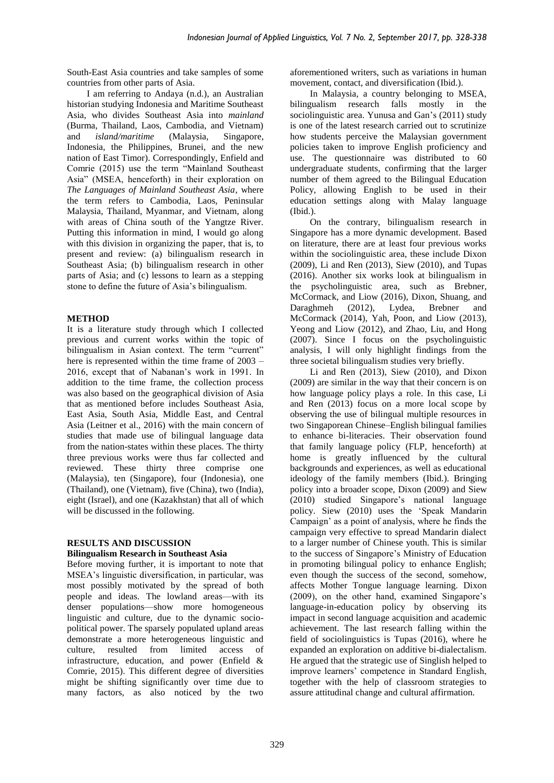South-East Asia countries and take samples of some countries from other parts of Asia.

I am referring to Andaya (n.d.), an Australian historian studying Indonesia and Maritime Southeast Asia, who divides Southeast Asia into *mainland*  (Burma, Thailand, Laos, Cambodia, and Vietnam) and *island/maritime* (Malaysia, Singapore, Indonesia, the Philippines, Brunei, and the new nation of East Timor). Correspondingly, Enfield and Comrie (2015) use the term "Mainland Southeast Asia" (MSEA, henceforth) in their exploration on *The Languages of Mainland Southeast Asia*, where the term refers to Cambodia, Laos, Peninsular Malaysia, Thailand, Myanmar, and Vietnam, along with areas of China south of the Yangtze River. Putting this information in mind, I would go along with this division in organizing the paper, that is, to present and review: (a) bilingualism research in Southeast Asia; (b) bilingualism research in other parts of Asia; and (c) lessons to learn as a stepping stone to define the future of Asia's bilingualism.

# **METHOD**

It is a literature study through which I collected previous and current works within the topic of bilingualism in Asian context. The term "current" here is represented within the time frame of 2003 – 2016, except that of Nabanan's work in 1991. In addition to the time frame, the collection process was also based on the geographical division of Asia that as mentioned before includes Southeast Asia, East Asia, South Asia, Middle East, and Central Asia (Leitner et al., 2016) with the main concern of studies that made use of bilingual language data from the nation-states within these places. The thirty three previous works were thus far collected and reviewed. These thirty three comprise one (Malaysia), ten (Singapore), four (Indonesia), one (Thailand), one (Vietnam), five (China), two (India), eight (Israel), and one (Kazakhstan) that all of which will be discussed in the following.

# **RESULTS AND DISCUSSION**

### **Bilingualism Research in Southeast Asia**

Before moving further, it is important to note that MSEA's linguistic diversification, in particular, was most possibly motivated by the spread of both people and ideas. The lowland areas—with its denser populations—show more homogeneous linguistic and culture, due to the dynamic sociopolitical power. The sparsely populated upland areas demonstrate a more heterogeneous linguistic and culture, resulted from limited access of infrastructure, education, and power (Enfield & Comrie, 2015). This different degree of diversities might be shifting significantly over time due to many factors, as also noticed by the two

aforementioned writers, such as variations in human movement, contact, and diversification (Ibid.).

In Malaysia, a country belonging to MSEA, bilingualism research falls mostly in the sociolinguistic area. Yunusa and Gan's (2011) study is one of the latest research carried out to scrutinize how students perceive the Malaysian government policies taken to improve English proficiency and use. The questionnaire was distributed to 60 undergraduate students, confirming that the larger number of them agreed to the Bilingual Education Policy, allowing English to be used in their education settings along with Malay language (Ibid.).

On the contrary, bilingualism research in Singapore has a more dynamic development. Based on literature, there are at least four previous works within the sociolinguistic area, these include Dixon (2009), Li and Ren (2013), Siew (2010), and Tupas (2016). Another six works look at bilingualism in the psycholinguistic area, such as Brebner, McCormack, and Liow (2016), Dixon, Shuang, and Daraghmeh (2012), Lydea, Brebner and McCormack (2014), Yah, Poon, and Liow (2013), Yeong and Liow (2012), and Zhao, Liu, and Hong (2007). Since I focus on the psycholinguistic analysis, I will only highlight findings from the three societal bilingualism studies very briefly.

Li and Ren (2013), Siew (2010), and Dixon (2009) are similar in the way that their concern is on how language policy plays a role. In this case, Li and Ren (2013) focus on a more local scope by observing the use of bilingual multiple resources in two Singaporean Chinese–English bilingual families to enhance bi-literacies. Their observation found that family language policy (FLP, henceforth) at home is greatly influenced by the cultural backgrounds and experiences, as well as educational ideology of the family members (Ibid.). Bringing policy into a broader scope, Dixon (2009) and Siew (2010) studied Singapore's national language policy. Siew (2010) uses the 'Speak Mandarin Campaign' as a point of analysis, where he finds the campaign very effective to spread Mandarin dialect to a larger number of Chinese youth. This is similar to the success of Singapore's Ministry of Education in promoting bilingual policy to enhance English; even though the success of the second, somehow, affects Mother Tongue language learning. Dixon (2009), on the other hand, examined Singapore's language-in-education policy by observing its impact in second language acquisition and academic achievement. The last research falling within the field of sociolinguistics is Tupas (2016), where he expanded an exploration on additive bi-dialectalism. He argued that the strategic use of Singlish helped to improve learners' competence in Standard English, together with the help of classroom strategies to assure attitudinal change and cultural affirmation.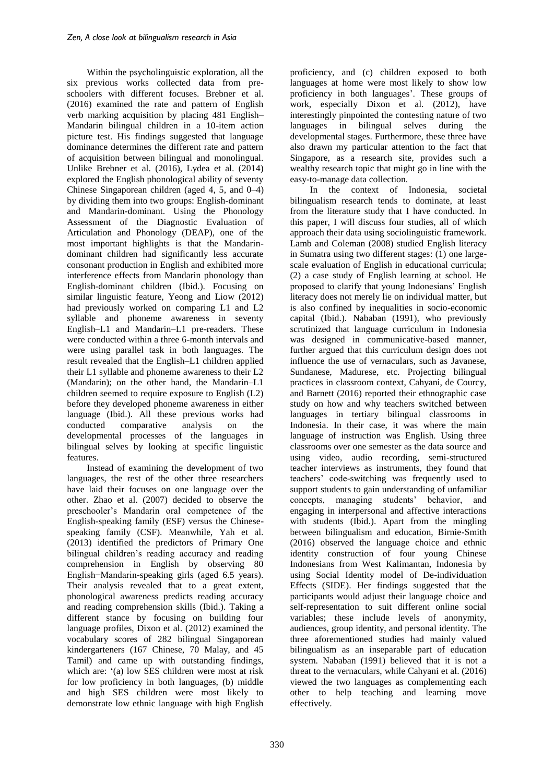Within the psycholinguistic exploration, all the six previous works collected data from preschoolers with different focuses. Brebner et al. (2016) examined the rate and pattern of English verb marking acquisition by placing 481 English– Mandarin bilingual children in a 10-item action picture test. His findings suggested that language dominance determines the different rate and pattern of acquisition between bilingual and monolingual. Unlike Brebner et al. (2016), Lydea et al. (2014) explored the English phonological ability of seventy Chinese Singaporean children (aged 4, 5, and 0–4) by dividing them into two groups: English-dominant and Mandarin-dominant. Using the Phonology Assessment of the Diagnostic Evaluation of Articulation and Phonology (DEAP), one of the most important highlights is that the Mandarindominant children had significantly less accurate consonant production in English and exhibited more interference effects from Mandarin phonology than English-dominant children (Ibid.). Focusing on similar linguistic feature, Yeong and Liow (2012) had previously worked on comparing L1 and L2 syllable and phoneme awareness in seventy English–L1 and Mandarin–L1 pre-readers. These were conducted within a three 6-month intervals and were using parallel task in both languages. The result revealed that the English–L1 children applied their L1 syllable and phoneme awareness to their L2 (Mandarin); on the other hand, the Mandarin–L1 children seemed to require exposure to English (L2) before they developed phoneme awareness in either language (Ibid.). All these previous works had conducted comparative analysis on the developmental processes of the languages in bilingual selves by looking at specific linguistic features.

Instead of examining the development of two languages, the rest of the other three researchers have laid their focuses on one language over the other. Zhao et al. (2007) decided to observe the preschooler's Mandarin oral competence of the English-speaking family (ESF) versus the Chinesespeaking family (CSF). Meanwhile, Yah et al. (2013) identified the predictors of Primary One bilingual children's reading accuracy and reading comprehension in English by observing 80 English−Mandarin-speaking girls (aged 6.5 years). Their analysis revealed that to a great extent, phonological awareness predicts reading accuracy and reading comprehension skills (Ibid.). Taking a different stance by focusing on building four language profiles, Dixon et al. (2012) examined the vocabulary scores of 282 bilingual Singaporean kindergarteners (167 Chinese, 70 Malay, and 45 Tamil) and came up with outstanding findings, which are: '(a) low SES children were most at risk for low proficiency in both languages, (b) middle and high SES children were most likely to demonstrate low ethnic language with high English proficiency, and (c) children exposed to both languages at home were most likely to show low proficiency in both languages'. These groups of work, especially Dixon et al. (2012), have interestingly pinpointed the contesting nature of two languages in bilingual selves during the developmental stages. Furthermore, these three have also drawn my particular attention to the fact that Singapore, as a research site, provides such a wealthy research topic that might go in line with the easy-to-manage data collection.

In the context of Indonesia, societal bilingualism research tends to dominate, at least from the literature study that I have conducted. In this paper, I will discuss four studies, all of which approach their data using sociolinguistic framework. Lamb and Coleman (2008) studied English literacy in Sumatra using two different stages: (1) one largescale evaluation of English in educational curricula; (2) a case study of English learning at school. He proposed to clarify that young Indonesians' English literacy does not merely lie on individual matter, but is also confined by inequalities in socio-economic capital (Ibid.). Nababan (1991), who previously scrutinized that language curriculum in Indonesia was designed in communicative-based manner, further argued that this curriculum design does not influence the use of vernaculars, such as Javanese, Sundanese, Madurese, etc. Projecting bilingual practices in classroom context, Cahyani, de Courcy, and Barnett (2016) reported their ethnographic case study on how and why teachers switched between languages in tertiary bilingual classrooms in Indonesia. In their case, it was where the main language of instruction was English. Using three classrooms over one semester as the data source and using video, audio recording, semi-structured teacher interviews as instruments, they found that teachers' code-switching was frequently used to support students to gain understanding of unfamiliar concepts, managing students' behavior, and engaging in interpersonal and affective interactions with students (Ibid.). Apart from the mingling between bilingualism and education, Birnie-Smith (2016) observed the language choice and ethnic identity construction of four young Chinese Indonesians from West Kalimantan, Indonesia by using Social Identity model of De-individuation Effects (SIDE). Her findings suggested that the participants would adjust their language choice and self-representation to suit different online social variables; these include levels of anonymity, audiences, group identity, and personal identity. The three aforementioned studies had mainly valued bilingualism as an inseparable part of education system. Nababan (1991) believed that it is not a threat to the vernaculars, while Cahyani et al. (2016) viewed the two languages as complementing each other to help teaching and learning move effectively.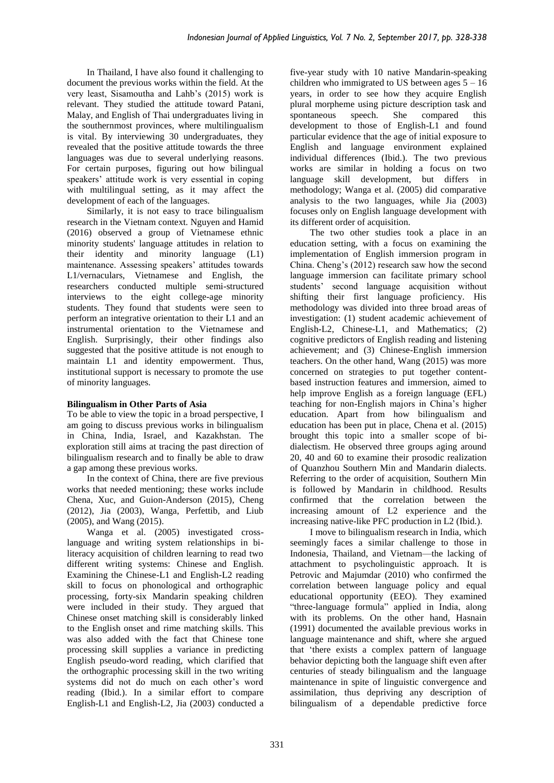In Thailand, I have also found it challenging to document the previous works within the field. At the very least, Sisamoutha and Lahb's (2015) work is relevant. They studied the attitude toward Patani, Malay, and English of Thai undergraduates living in the southernmost provinces, where multilingualism is vital. By interviewing 30 undergraduates, they revealed that the positive attitude towards the three languages was due to several underlying reasons. For certain purposes, figuring out how bilingual speakers' attitude work is very essential in coping with multilingual setting, as it may affect the development of each of the languages.

Similarly, it is not easy to trace bilingualism research in the Vietnam context. Nguyen and Hamid (2016) observed a group of Vietnamese ethnic minority students' language attitudes in relation to their identity and minority language (L1) maintenance. Assessing speakers' attitudes towards L1/vernaculars, Vietnamese and English, the researchers conducted multiple semi-structured interviews to the eight college-age minority students. They found that students were seen to perform an integrative orientation to their L1 and an instrumental orientation to the Vietnamese and English. Surprisingly, their other findings also suggested that the positive attitude is not enough to maintain L1 and identity empowerment. Thus, institutional support is necessary to promote the use of minority languages.

# **Bilingualism in Other Parts of Asia**

To be able to view the topic in a broad perspective, I am going to discuss previous works in bilingualism in China, India, Israel, and Kazakhstan. The exploration still aims at tracing the past direction of bilingualism research and to finally be able to draw a gap among these previous works.

In the context of China, there are five previous works that needed mentioning; these works include Chena, Xuc, and Guion-Anderson (2015), Cheng (2012), Jia (2003), Wanga, Perfettib, and Liub (2005), and Wang (2015).

Wanga et al. (2005) investigated crosslanguage and writing system relationships in biliteracy acquisition of children learning to read two different writing systems: Chinese and English. Examining the Chinese-L1 and English-L2 reading skill to focus on phonological and orthographic processing, forty-six Mandarin speaking children were included in their study. They argued that Chinese onset matching skill is considerably linked to the English onset and rime matching skills. This was also added with the fact that Chinese tone processing skill supplies a variance in predicting English pseudo-word reading, which clarified that the orthographic processing skill in the two writing systems did not do much on each other's word reading (Ibid.). In a similar effort to compare English-L1 and English-L2, Jia (2003) conducted a five-year study with 10 native Mandarin-speaking children who immigrated to US between ages  $5 - 16$ years, in order to see how they acquire English plural morpheme using picture description task and spontaneous speech. She compared this development to those of English-L1 and found particular evidence that the age of initial exposure to English and language environment explained individual differences (Ibid.). The two previous works are similar in holding a focus on two language skill development, but differs in methodology; Wanga et al. (2005) did comparative analysis to the two languages, while Jia (2003) focuses only on English language development with its different order of acquisition.

The two other studies took a place in an education setting, with a focus on examining the implementation of English immersion program in China. Cheng's (2012) research saw how the second language immersion can facilitate primary school students' second language acquisition without shifting their first language proficiency. His methodology was divided into three broad areas of investigation: (1) student academic achievement of English-L2, Chinese-L1, and Mathematics; (2) cognitive predictors of English reading and listening achievement; and (3) Chinese-English immersion teachers. On the other hand, Wang (2015) was more concerned on strategies to put together contentbased instruction features and immersion, aimed to help improve English as a foreign language (EFL) teaching for non-English majors in China's higher education. Apart from how bilingualism and education has been put in place, Chena et al. (2015) brought this topic into a smaller scope of bidialectism. He observed three groups aging around 20, 40 and 60 to examine their prosodic realization of Quanzhou Southern Min and Mandarin dialects. Referring to the order of acquisition, Southern Min is followed by Mandarin in childhood. Results confirmed that the correlation between the increasing amount of L2 experience and the increasing native-like PFC production in L2 (Ibid.).

I move to bilingualism research in India, which seemingly faces a similar challenge to those in Indonesia, Thailand, and Vietnam—the lacking of attachment to psycholinguistic approach. It is Petrovic and Majumdar (2010) who confirmed the correlation between language policy and equal educational opportunity (EEO). They examined "three-language formula" applied in India, along with its problems. On the other hand, Hasnain (1991) documented the available previous works in language maintenance and shift, where she argued that 'there exists a complex pattern of language behavior depicting both the language shift even after centuries of steady bilingualism and the language maintenance in spite of linguistic convergence and assimilation, thus depriving any description of bilingualism of a dependable predictive force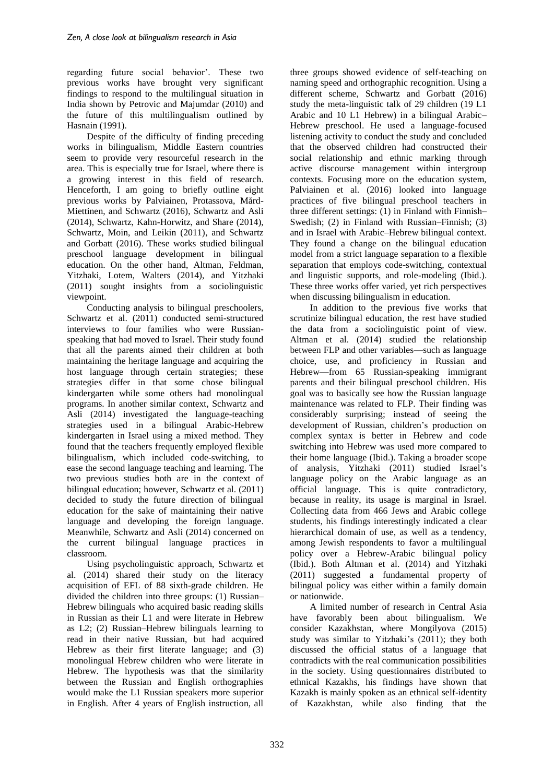regarding future social behavior'. These two previous works have brought very significant findings to respond to the multilingual situation in India shown by Petrovic and Majumdar (2010) and the future of this multilingualism outlined by Hasnain (1991).

Despite of the difficulty of finding preceding works in bilingualism, Middle Eastern countries seem to provide very resourceful research in the area. This is especially true for Israel, where there is a growing interest in this field of research. Henceforth, I am going to briefly outline eight previous works by Palviainen, Protassova, Mård-Miettinen, and Schwartz (2016), Schwartz and Asli (2014), Schwartz, Kahn-Horwitz, and Share (2014), Schwartz, Moin, and Leikin (2011), and Schwartz and Gorbatt (2016). These works studied bilingual preschool language development in bilingual education. On the other hand, Altman, Feldman, Yitzhaki, Lotem, Walters (2014), and Yitzhaki (2011) sought insights from a sociolinguistic viewpoint.

Conducting analysis to bilingual preschoolers, Schwartz et al. (2011) conducted semi-structured interviews to four families who were Russianspeaking that had moved to Israel. Their study found that all the parents aimed their children at both maintaining the heritage language and acquiring the host language through certain strategies; these strategies differ in that some chose bilingual kindergarten while some others had monolingual programs. In another similar context, Schwartz and Asli (2014) investigated the language-teaching strategies used in a bilingual Arabic-Hebrew kindergarten in Israel using a mixed method. They found that the teachers frequently employed flexible bilingualism, which included code-switching, to ease the second language teaching and learning. The two previous studies both are in the context of bilingual education; however, Schwartz et al. (2011) decided to study the future direction of bilingual education for the sake of maintaining their native language and developing the foreign language. Meanwhile, Schwartz and Asli (2014) concerned on the current bilingual language practices in classroom.

Using psycholinguistic approach, Schwartz et al. (2014) shared their study on the literacy acquisition of EFL of 88 sixth-grade children. He divided the children into three groups: (1) Russian– Hebrew bilinguals who acquired basic reading skills in Russian as their L1 and were literate in Hebrew as L2; (2) Russian–Hebrew bilinguals learning to read in their native Russian, but had acquired Hebrew as their first literate language; and (3) monolingual Hebrew children who were literate in Hebrew. The hypothesis was that the similarity between the Russian and English orthographies would make the L1 Russian speakers more superior in English. After 4 years of English instruction, all three groups showed evidence of self-teaching on naming speed and orthographic recognition. Using a different scheme, Schwartz and Gorbatt (2016) study the meta-linguistic talk of 29 children (19 L1 Arabic and 10 L1 Hebrew) in a bilingual Arabic– Hebrew preschool. He used a language-focused listening activity to conduct the study and concluded that the observed children had constructed their social relationship and ethnic marking through active discourse management within intergroup contexts. Focusing more on the education system, Palviainen et al. (2016) looked into language practices of five bilingual preschool teachers in three different settings: (1) in Finland with Finnish– Swedish; (2) in Finland with Russian–Finnish; (3) and in Israel with Arabic–Hebrew bilingual context. They found a change on the bilingual education model from a strict language separation to a flexible separation that employs code-switching, contextual and linguistic supports, and role-modeling (Ibid.). These three works offer varied, yet rich perspectives when discussing bilingualism in education.

In addition to the previous five works that scrutinize bilingual education, the rest have studied the data from a sociolinguistic point of view. Altman et al. (2014) studied the relationship between FLP and other variables—such as language choice, use, and proficiency in Russian and Hebrew—from 65 Russian-speaking immigrant parents and their bilingual preschool children. His goal was to basically see how the Russian language maintenance was related to FLP. Their finding was considerably surprising; instead of seeing the development of Russian, children's production on complex syntax is better in Hebrew and code switching into Hebrew was used more compared to their home language (Ibid.). Taking a broader scope of analysis, Yitzhaki (2011) studied Israel's language policy on the Arabic language as an official language. This is quite contradictory, because in reality, its usage is marginal in Israel. Collecting data from 466 Jews and Arabic college students, his findings interestingly indicated a clear hierarchical domain of use, as well as a tendency, among Jewish respondents to favor a multilingual policy over a Hebrew-Arabic bilingual policy (Ibid.). Both Altman et al. (2014) and Yitzhaki (2011) suggested a fundamental property of bilingual policy was either within a family domain or nationwide.

A limited number of research in Central Asia have favorably been about bilingualism. We consider Kazakhstan, where Mongilyova (2015) study was similar to Yitzhaki's (2011); they both discussed the official status of a language that contradicts with the real communication possibilities in the society. Using questionnaires distributed to ethnical Kazakhs, his findings have shown that Kazakh is mainly spoken as an ethnical self-identity of Kazakhstan, while also finding that the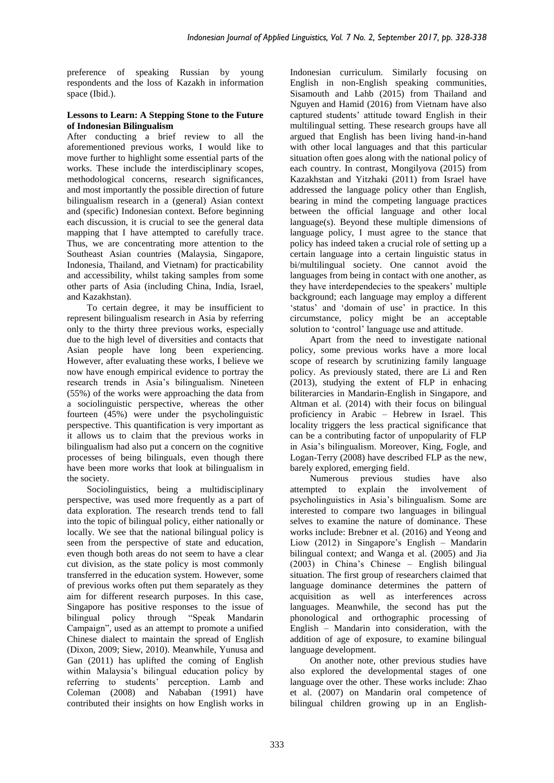preference of speaking Russian by young respondents and the loss of Kazakh in information space (Ibid.).

### **Lessons to Learn: A Stepping Stone to the Future of Indonesian Bilingualism**

After conducting a brief review to all the aforementioned previous works, I would like to move further to highlight some essential parts of the works. These include the interdisciplinary scopes, methodological concerns, research significances, and most importantly the possible direction of future bilingualism research in a (general) Asian context and (specific) Indonesian context. Before beginning each discussion, it is crucial to see the general data mapping that I have attempted to carefully trace. Thus, we are concentrating more attention to the Southeast Asian countries (Malaysia, Singapore, Indonesia, Thailand, and Vietnam) for practicability and accessibility, whilst taking samples from some other parts of Asia (including China, India, Israel, and Kazakhstan).

To certain degree, it may be insufficient to represent bilingualism research in Asia by referring only to the thirty three previous works, especially due to the high level of diversities and contacts that Asian people have long been experiencing. However, after evaluating these works, I believe we now have enough empirical evidence to portray the research trends in Asia's bilingualism. Nineteen (55%) of the works were approaching the data from a sociolinguistic perspective, whereas the other fourteen (45%) were under the psycholinguistic perspective. This quantification is very important as it allows us to claim that the previous works in bilingualism had also put a concern on the cognitive processes of being bilinguals, even though there have been more works that look at bilingualism in the society.

Sociolinguistics, being a multidisciplinary perspective, was used more frequently as a part of data exploration. The research trends tend to fall into the topic of bilingual policy, either nationally or locally. We see that the national bilingual policy is seen from the perspective of state and education, even though both areas do not seem to have a clear cut division, as the state policy is most commonly transferred in the education system. However, some of previous works often put them separately as they aim for different research purposes. In this case, Singapore has positive responses to the issue of bilingual policy through "Speak Mandarin Campaign", used as an attempt to promote a unified Chinese dialect to maintain the spread of English (Dixon, 2009; Siew, 2010). Meanwhile, Yunusa and Gan (2011) has uplifted the coming of English within Malaysia's bilingual education policy by referring to students' perception. Lamb and Coleman (2008) and Nababan (1991) have contributed their insights on how English works in Indonesian curriculum. Similarly focusing on English in non-English speaking communities, Sisamouth and Lahb (2015) from Thailand and Nguyen and Hamid (2016) from Vietnam have also captured students' attitude toward English in their multilingual setting. These research groups have all argued that English has been living hand-in-hand with other local languages and that this particular situation often goes along with the national policy of each country. In contrast, Mongilyova (2015) from Kazakhstan and Yitzhaki (2011) from Israel have addressed the language policy other than English, bearing in mind the competing language practices between the official language and other local language(s). Beyond these multiple dimensions of language policy, I must agree to the stance that policy has indeed taken a crucial role of setting up a certain language into a certain linguistic status in bi/multilingual society. One cannot avoid the languages from being in contact with one another, as they have interdependecies to the speakers' multiple background; each language may employ a different 'status' and 'domain of use' in practice. In this circumstance, policy might be an acceptable solution to 'control' language use and attitude.

Apart from the need to investigate national policy, some previous works have a more local scope of research by scrutinizing family language policy. As previously stated, there are Li and Ren (2013), studying the extent of FLP in enhacing biliterarcies in Mandarin-English in Singapore, and Altman et al. (2014) with their focus on bilingual proficiency in Arabic – Hebrew in Israel. This locality triggers the less practical significance that can be a contributing factor of unpopularity of FLP in Asia's bilingualism. Moreover, King, Fogle, and Logan-Terry (2008) have described FLP as the new, barely explored, emerging field.

Numerous previous studies have also attempted to explain the involvement of psycholinguistics in Asia's bilingualism. Some are interested to compare two languages in bilingual selves to examine the nature of dominance. These works include: Brebner et al. (2016) and Yeong and Liow (2012) in Singapore's English – Mandarin bilingual context; and Wanga et al. (2005) and Jia (2003) in China's Chinese – English bilingual situation. The first group of researchers claimed that language dominance determines the pattern of acquisition as well as interferences across languages. Meanwhile, the second has put the phonological and orthographic processing of English – Mandarin into consideration, with the addition of age of exposure, to examine bilingual language development.

On another note, other previous studies have also explored the developmental stages of one language over the other. These works include: Zhao et al. (2007) on Mandarin oral competence of bilingual children growing up in an English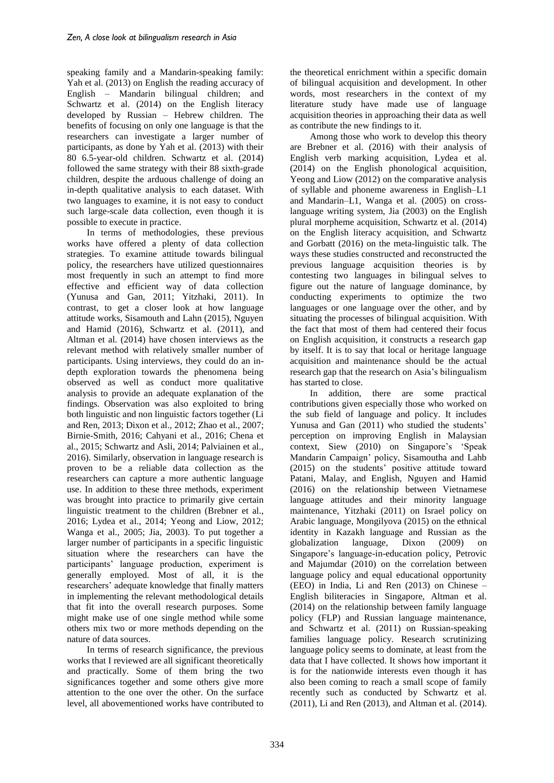speaking family and a Mandarin-speaking family: Yah et al. (2013) on English the reading accuracy of English – Mandarin bilingual children; and Schwartz et al. (2014) on the English literacy developed by Russian – Hebrew children. The benefits of focusing on only one language is that the researchers can investigate a larger number of participants, as done by Yah et al. (2013) with their 80 6.5-year-old children. Schwartz et al. (2014) followed the same strategy with their 88 sixth-grade children, despite the arduous challenge of doing an in-depth qualitative analysis to each dataset. With two languages to examine, it is not easy to conduct such large-scale data collection, even though it is possible to execute in practice.

In terms of methodologies, these previous works have offered a plenty of data collection strategies. To examine attitude towards bilingual policy, the researchers have utilized questionnaires most frequently in such an attempt to find more effective and efficient way of data collection (Yunusa and Gan, 2011; Yitzhaki, 2011). In contrast, to get a closer look at how language attitude works, Sisamouth and Lahn (2015), Nguyen and Hamid (2016), Schwartz et al. (2011), and Altman et al. (2014) have chosen interviews as the relevant method with relatively smaller number of participants. Using interviews, they could do an indepth exploration towards the phenomena being observed as well as conduct more qualitative analysis to provide an adequate explanation of the findings. Observation was also exploited to bring both linguistic and non linguistic factors together (Li and Ren, 2013; Dixon et al., 2012; Zhao et al., 2007; Birnie-Smith, 2016; Cahyani et al., 2016; Chena et al., 2015; Schwartz and Asli, 2014; Palviainen et al., 2016). Similarly, observation in language research is proven to be a reliable data collection as the researchers can capture a more authentic language use. In addition to these three methods, experiment was brought into practice to primarily give certain linguistic treatment to the children (Brebner et al., 2016; Lydea et al., 2014; Yeong and Liow, 2012; Wanga et al., 2005; Jia, 2003). To put together a larger number of participants in a specific linguistic situation where the researchers can have the participants' language production, experiment is generally employed. Most of all, it is the researchers' adequate knowledge that finally matters in implementing the relevant methodological details that fit into the overall research purposes. Some might make use of one single method while some others mix two or more methods depending on the nature of data sources.

In terms of research significance, the previous works that I reviewed are all significant theoretically and practically. Some of them bring the two significances together and some others give more attention to the one over the other. On the surface level, all abovementioned works have contributed to the theoretical enrichment within a specific domain of bilingual acquisition and development. In other words, most researchers in the context of my literature study have made use of language acquisition theories in approaching their data as well as contribute the new findings to it.

Among those who work to develop this theory are Brebner et al. (2016) with their analysis of English verb marking acquisition, Lydea et al. (2014) on the English phonological acquisition, Yeong and Liow (2012) on the comparative analysis of syllable and phoneme awareness in English–L1 and Mandarin–L1, Wanga et al. (2005) on crosslanguage writing system, Jia (2003) on the English plural morpheme acquisition, Schwartz et al. (2014) on the English literacy acquisition, and Schwartz and Gorbatt (2016) on the meta-linguistic talk. The ways these studies constructed and reconstructed the previous language acquisition theories is by contesting two languages in bilingual selves to figure out the nature of language dominance, by conducting experiments to optimize the two languages or one language over the other, and by situating the processes of bilingual acquisition. With the fact that most of them had centered their focus on English acquisition, it constructs a research gap by itself. It is to say that local or heritage language acquisition and maintenance should be the actual research gap that the research on Asia's bilingualism has started to close.

In addition, there are some practical contributions given especially those who worked on the sub field of language and policy. It includes Yunusa and Gan (2011) who studied the students' perception on improving English in Malaysian context, Siew (2010) on Singapore's 'Speak Mandarin Campaign' policy, Sisamoutha and Lahb (2015) on the students' positive attitude toward Patani, Malay, and English, Nguyen and Hamid (2016) on the relationship between Vietnamese language attitudes and their minority language maintenance, Yitzhaki (2011) on Israel policy on Arabic language, Mongilyova (2015) on the ethnical identity in Kazakh language and Russian as the globalization language, Dixon (2009) on Singapore's language-in-education policy, Petrovic and Majumdar (2010) on the correlation between language policy and equal educational opportunity (EEO) in India, Li and Ren (2013) on Chinese – English biliteracies in Singapore, Altman et al. (2014) on the relationship between family language policy (FLP) and Russian language maintenance, and Schwartz et al. (2011) on Russian-speaking families language policy. Research scrutinizing language policy seems to dominate, at least from the data that I have collected. It shows how important it is for the nationwide interests even though it has also been coming to reach a small scope of family recently such as conducted by Schwartz et al. (2011), Li and Ren (2013), and Altman et al. (2014).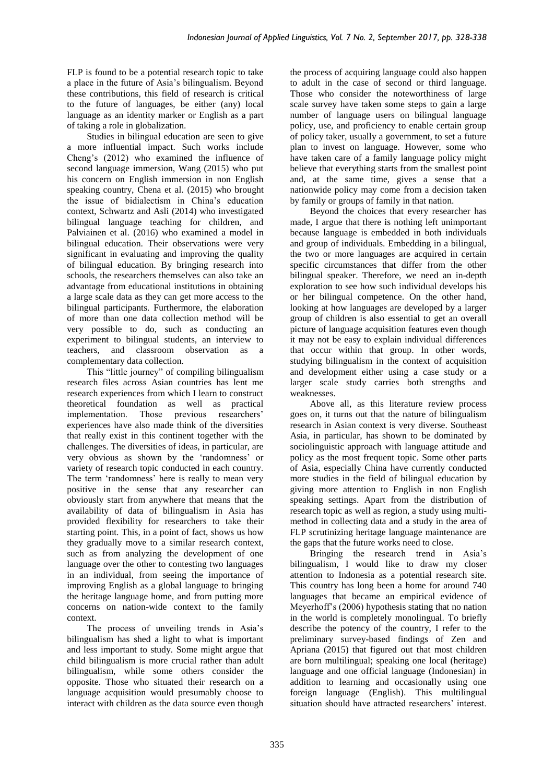FLP is found to be a potential research topic to take a place in the future of Asia's bilingualism. Beyond these contributions, this field of research is critical to the future of languages, be either (any) local language as an identity marker or English as a part of taking a role in globalization.

Studies in bilingual education are seen to give a more influential impact. Such works include Cheng's (2012) who examined the influence of second language immersion, Wang (2015) who put his concern on English immersion in non English speaking country, Chena et al. (2015) who brought the issue of bidialectism in China's education context, Schwartz and Asli (2014) who investigated bilingual language teaching for children, and Palviainen et al. (2016) who examined a model in bilingual education. Their observations were very significant in evaluating and improving the quality of bilingual education. By bringing research into schools, the researchers themselves can also take an advantage from educational institutions in obtaining a large scale data as they can get more access to the bilingual participants. Furthermore, the elaboration of more than one data collection method will be very possible to do, such as conducting an experiment to bilingual students, an interview to teachers, and classroom observation as a complementary data collection.

This "little journey" of compiling bilingualism research files across Asian countries has lent me research experiences from which I learn to construct theoretical foundation as well as practical implementation. Those previous researchers' experiences have also made think of the diversities that really exist in this continent together with the challenges. The diversities of ideas, in particular, are very obvious as shown by the 'randomness' or variety of research topic conducted in each country. The term 'randomness' here is really to mean very positive in the sense that any researcher can obviously start from anywhere that means that the availability of data of bilingualism in Asia has provided flexibility for researchers to take their starting point. This, in a point of fact, shows us how they gradually move to a similar research context, such as from analyzing the development of one language over the other to contesting two languages in an individual, from seeing the importance of improving English as a global language to bringing the heritage language home, and from putting more concerns on nation-wide context to the family context.

The process of unveiling trends in Asia's bilingualism has shed a light to what is important and less important to study. Some might argue that child bilingualism is more crucial rather than adult bilingualism, while some others consider the opposite. Those who situated their research on a language acquisition would presumably choose to interact with children as the data source even though the process of acquiring language could also happen to adult in the case of second or third language. Those who consider the noteworthiness of large scale survey have taken some steps to gain a large number of language users on bilingual language policy, use, and proficiency to enable certain group of policy taker, usually a government, to set a future plan to invest on language. However, some who have taken care of a family language policy might believe that everything starts from the smallest point and, at the same time, gives a sense that a nationwide policy may come from a decision taken by family or groups of family in that nation.

Beyond the choices that every researcher has made, I argue that there is nothing left unimportant because language is embedded in both individuals and group of individuals. Embedding in a bilingual, the two or more languages are acquired in certain specific circumstances that differ from the other bilingual speaker. Therefore, we need an in-depth exploration to see how such individual develops his or her bilingual competence. On the other hand, looking at how languages are developed by a larger group of children is also essential to get an overall picture of language acquisition features even though it may not be easy to explain individual differences that occur within that group. In other words, studying bilingualism in the context of acquisition and development either using a case study or a larger scale study carries both strengths and weaknesses.

Above all, as this literature review process goes on, it turns out that the nature of bilingualism research in Asian context is very diverse. Southeast Asia, in particular, has shown to be dominated by sociolinguistic approach with language attitude and policy as the most frequent topic. Some other parts of Asia, especially China have currently conducted more studies in the field of bilingual education by giving more attention to English in non English speaking settings. Apart from the distribution of research topic as well as region, a study using multimethod in collecting data and a study in the area of FLP scrutinizing heritage language maintenance are the gaps that the future works need to close.

Bringing the research trend in Asia's bilingualism, I would like to draw my closer attention to Indonesia as a potential research site. This country has long been a home for around 740 languages that became an empirical evidence of Meyerhoff's (2006) hypothesis stating that no nation in the world is completely monolingual. To briefly describe the potency of the country, I refer to the preliminary survey-based findings of Zen and Apriana (2015) that figured out that most children are born multilingual; speaking one local (heritage) language and one official language (Indonesian) in addition to learning and occasionally using one foreign language (English). This multilingual situation should have attracted researchers' interest.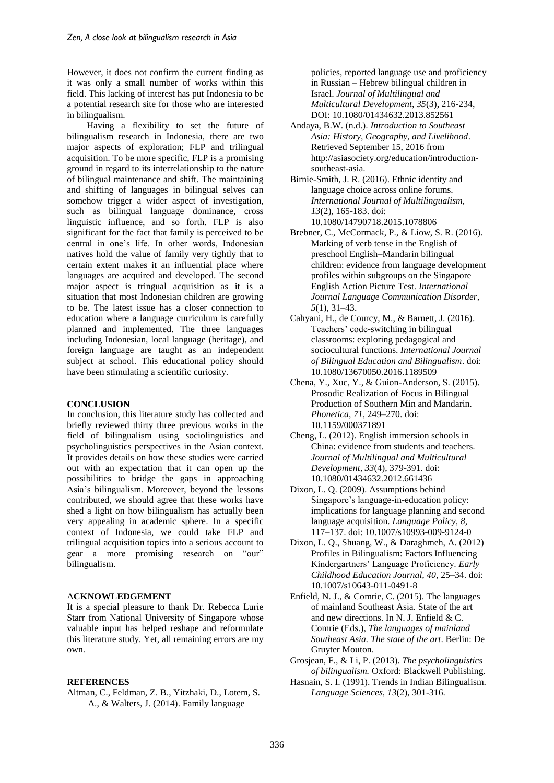However, it does not confirm the current finding as it was only a small number of works within this field. This lacking of interest has put Indonesia to be a potential research site for those who are interested in bilingualism.

Having a flexibility to set the future of bilingualism research in Indonesia, there are two major aspects of exploration; FLP and trilingual acquisition. To be more specific, FLP is a promising ground in regard to its interrelationship to the nature of bilingual maintenance and shift. The maintaining and shifting of languages in bilingual selves can somehow trigger a wider aspect of investigation, such as bilingual language dominance, cross linguistic influence, and so forth. FLP is also significant for the fact that family is perceived to be central in one's life. In other words, Indonesian natives hold the value of family very tightly that to certain extent makes it an influential place where languages are acquired and developed. The second major aspect is tringual acquisition as it is a situation that most Indonesian children are growing to be. The latest issue has a closer connection to education where a language curriculum is carefully planned and implemented. The three languages including Indonesian, local language (heritage), and foreign language are taught as an independent subject at school. This educational policy should have been stimulating a scientific curiosity.

### **CONCLUSION**

In conclusion, this literature study has collected and briefly reviewed thirty three previous works in the field of bilingualism using sociolinguistics and psycholinguistics perspectives in the Asian context. It provides details on how these studies were carried out with an expectation that it can open up the possibilities to bridge the gaps in approaching Asia's bilingualism. Moreover, beyond the lessons contributed, we should agree that these works have shed a light on how bilingualism has actually been very appealing in academic sphere. In a specific context of Indonesia, we could take FLP and trilingual acquisition topics into a serious account to gear a more promising research on "our" bilingualism.

#### A**CKNOWLEDGEMENT**

It is a special pleasure to thank Dr. Rebecca Lurie Starr from National University of Singapore whose valuable input has helped reshape and reformulate this literature study. Yet, all remaining errors are my own.

#### **REFERENCES**

Altman, C., Feldman, Z. B., Yitzhaki, D., Lotem, S. A., & Walters, J. (2014). Family language

policies, reported language use and proficiency in Russian – Hebrew bilingual children in Israel. *Journal of Multilingual and Multicultural Development, 35*(3), 216-234, DOI: 10.1080/01434632.2013.852561

- Andaya, B.W. (n.d.). *Introduction to Southeast Asia: History, Geography, and Livelihood*. Retrieved September 15, 2016 from [http://asiasociety.org/education/introduction](http://asiasociety.org/education/introduction-southeast-asia)[southeast-asia.](http://asiasociety.org/education/introduction-southeast-asia)
- Birnie-Smith, J. R. (2016). Ethnic identity and language choice across online forums. *International Journal of Multilingualism, 13*(2), 165-183. doi: 10.1080/14790718.2015.1078806
- Brebner, C., McCormack, P., & Liow, S. R. (2016). Marking of verb tense in the English of preschool English–Mandarin bilingual children: evidence from language development profiles within subgroups on the Singapore English Action Picture Test. *International Journal Language Communication Disorder, 5*(1), 31–43.
- Cahyani, H., de Courcy, M., & Barnett, J. (2016). Teachers' code-switching in bilingual classrooms: exploring pedagogical and sociocultural functions. *International Journal of Bilingual Education and Bilingualism*. doi: 10.1080/13670050.2016.1189509
- Chena, Y., Xuc, Y., & Guion-Anderson, S. (2015). Prosodic Realization of Focus in Bilingual Production of Southern Min and Mandarin. *Phonetica*, *71,* 249–270. doi: 10.1159/000371891
- Cheng, L. (2012). English immersion schools in China: evidence from students and teachers. *Journal of Multilingual and Multicultural Development, 33*(4), 379-391. doi: 10.1080/01434632.2012.661436
- Dixon, L. Q. (2009). Assumptions behind Singapore's language-in-education policy: implications for language planning and second language acquisition. *Language Policy, 8,*  117–137. doi: 10.1007/s10993-009-9124-0
- Dixon, L. Q., Shuang, W., & Daraghmeh, A. (2012) Profiles in Bilingualism: Factors Influencing Kindergartners' Language Proficiency. *Early Childhood Education Journal, 40,* 25–34. doi: 10.1007/s10643-011-0491-8
- Enfield, N. J., & Comrie, C. (2015). The languages of mainland Southeast Asia. State of the art and new directions. In N. J. Enfield & C. Comrie (Eds.), *The languages of mainland Southeast Asia. The state of the art*. Berlin: De Gruyter Mouton.
- Grosjean, F., & Li, P. (2013). *The psycholinguistics of bilingualism.* Oxford: Blackwell Publishing.
- Hasnain, S. I. (1991). Trends in Indian Bilingualism. *Language Sciences, 13*(2), 301-316.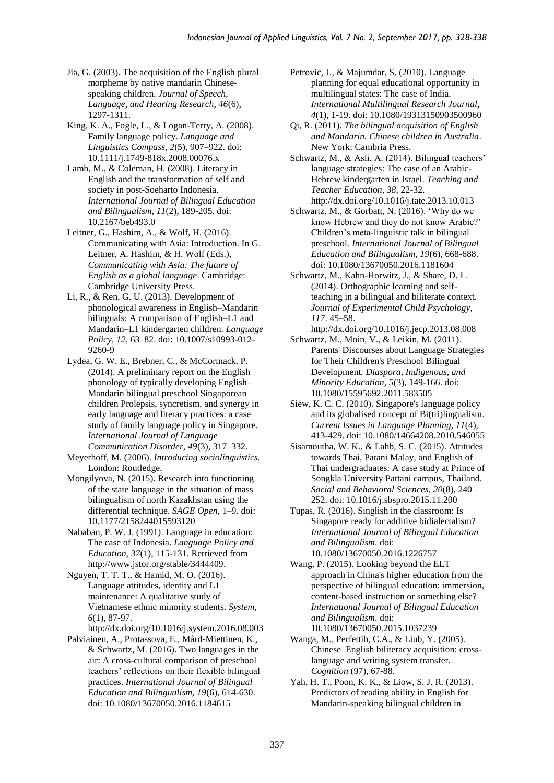- Jia, G. (2003). The acquisition of the English plural morpheme by native mandarin Chinesespeaking children. *Journal of Speech, Language, and Hearing Research, 46*(6), 1297-1311.
- King, K. A., Fogle, L., & Logan-Terry, A. (2008). Family language policy. *Language and Linguistics Compass, 2*(5), 907–922. doi: 10.1111/j.1749-818x.2008.00076.x
- Lamb, M., & Coleman, H. (2008). Literacy in English and the transformation of self and society in post-Soeharto Indonesia. *International Journal of Bilingual Education and Bilingualism, 11*(2), 189-205. doi: 10.2167/beb493.0
- Leitner, G., Hashim, A., & Wolf, H. (2016). Communicating with Asia: Introduction. In G. Leitner, A. Hashim, & H. Wolf (Eds.), *Communicating with Asia: The future of English as a global language*. Cambridge: Cambridge University Press.
- Li, R., & Ren, G. U. (2013). Development of phonological awareness in English–Mandarin bilinguals: A comparison of English–L1 and Mandarin–L1 kindergarten children. *Language Policy, 12,* 63–82. doi: 10.1007/s10993-012- 9260-9
- Lydea, G. W. E., Brebner, C., & McCormack, P. (2014). A preliminary report on the English phonology of typically developing English– Mandarin bilingual preschool Singaporean children Prolepsis, syncretism, and synergy in early language and literacy practices: a case study of family language policy in Singapore. *International Journal of Language Communication Disorder, 49*(3)*,* 317–332.
- Meyerhoff, M. (2006). *Introducing sociolinguistics.* London: Routledge.
- Mongilyova, N. (2015). Research into functioning of the state language in the situation of mass bilingualism of north Kazakhstan using the differential technique. *SAGE Open,* 1–9. doi: 10.1177/2158244015593120
- Nababan, P. W. J. (1991). Language in education: The case of Indonesia. *Language Policy and Education, 37*(1), 115-131. Retrieved from [http://www.jstor.org/stable/3444409.](http://www.jstor.org/stable/3444409)
- Nguyen, T. T. T., & Hamid, M. O. (2016). Language attitudes, identity and L1 maintenance: A qualitative study of Vietnamese ethnic minority students. *System, 6*(1), 87-97.
	- <http://dx.doi.org/10.1016/j.system.2016.08.003>
- Palviainen, A., Protassova, E., Mård-Miettinen, K., & Schwartz, M. (2016). Two languages in the air: A cross-cultural comparison of preschool teachers' reflections on their flexible bilingual practices. *International Journal of Bilingual Education and Bilingualism, 19*(6), 614-630. doi: 10.1080/13670050.2016.1184615
- Petrovic, J., & Majumdar, S. (2010). Language planning for equal educational opportunity in multilingual states: The case of India. *International Multilingual Research Journal, 4*(1), 1-19. doi: 10.1080/19313150903500960
- Qi, R. (2011). *The bilingual acquisition of English and Mandarin. Chinese children in Australia*. New York: Cambria Press.
- Schwartz, M., & Asli, A. (2014). Bilingual teachers' language strategies: The case of an Arabic-Hebrew kindergarten in Israel. *Teaching and Teacher Education, 38,* 22-32. <http://dx.doi.org/10.1016/j.tate.2013.10.013>
- Schwartz, M., & Gorbatt, N. (2016). 'Why do we know Hebrew and they do not know Arabic?' Children's meta-linguistic talk in bilingual preschool. *International Journal of Bilingual Education and Bilingualism, 19*(6), 668-688. doi: 10.1080/13670050.2016.1181604
- Schwartz, M., Kahn-Horwitz, J., & Share, D. L. (2014). Orthographic learning and selfteaching in a bilingual and biliterate context. *Journal of Experimental Child Psychology, 117*. 45–58.
- <http://dx.doi.org/10.1016/j.jecp.2013.08.008> Schwartz, M., Moin, V., & Leikin, M. (2011).
- Parents' Discourses about Language Strategies for Their Children's Preschool Bilingual Development*. Diaspora, Indigenous, and Minority Education, 5*(3), 149-166. doi: 10.1080/15595692.2011.583505
- Siew, K. C. C. (2010). Singapore's language policy and its globalised concept of Bi(tri)lingualism. *Current Issues in Language Planning, 11*(4), 413-429. doi: 10.1080/14664208.2010.546055
- Sisamoutha, W. K., & Lahb, S. C. (2015). Attitudes towards Thai, Patani Malay, and English of Thai undergraduates: A case study at Prince of Songkla University Pattani campus, Thailand. *Social and Behavioral Sciences, 20*(8), 240 – 252. doi: 10.1016/j.sbspro.2015.11.200
- Tupas, R. (2016). Singlish in the classroom: Is Singapore ready for additive bidialectalism? *International Journal of Bilingual Education and Bilingualism*. doi: 10.1080/13670050.2016.1226757
- Wang, P. (2015). Looking beyond the ELT approach in China's higher education from the perspective of bilingual education: immersion, content-based instruction or something else? *International Journal of Bilingual Education and Bilingualism*. doi: 10.1080/13670050.2015.1037239
- Wanga, M., Perfettib, C.A., & Liub, Y. (2005). Chinese–English biliteracy acquisition: crosslanguage and writing system transfer. *Cognition* (97), 67-88.
- Yah, H. T., Poon, K. K., & Liow, S. J. R. (2013). Predictors of reading ability in English for Mandarin-speaking bilingual children in